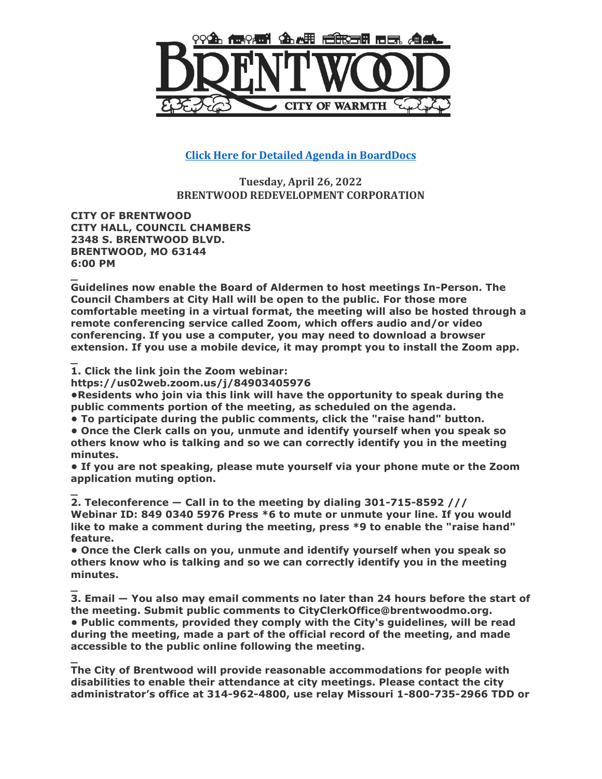

**[Click Here for Detailed Agenda in BoardDocs](http://go.boarddocs.com/mo/cob/Board.nsf/goto?open&id=CDAKJT510B38)**

**Tuesday, April 26, 2022 BRENTWOOD REDEVELOPMENT CORPORATION**

**CITY OF BRENTWOOD CITY HALL, COUNCIL CHAMBERS 2348 S. BRENTWOOD BLVD. BRENTWOOD, MO 63144 6:00 PM**

**\_ Guidelines now enable the Board of Aldermen to host meetings In-Person. The Council Chambers at City Hall will be open to the public. For those more comfortable meeting in a virtual format, the meeting will also be hosted through a remote conferencing service called Zoom, which offers audio and/or video conferencing. If you use a computer, you may need to download a browser extension. If you use a mobile device, it may prompt you to install the Zoom app.**

**\_ 1. Click the link join the Zoom webinar:** 

**https://us02web.zoom.us/j/84903405976**

**•Residents who join via this link will have the opportunity to speak during the public comments portion of the meeting, as scheduled on the agenda.**

**• To participate during the public comments, click the "raise hand" button.**

**• Once the Clerk calls on you, unmute and identify yourself when you speak so others know who is talking and so we can correctly identify you in the meeting minutes.**

**• If you are not speaking, please mute yourself via your phone mute or the Zoom application muting option.**

**\_ 2. Teleconference — Call in to the meeting by dialing 301-715-8592 /// Webinar ID: 849 0340 5976 Press \*6 to mute or unmute your line. If you would like to make a comment during the meeting, press \*9 to enable the "raise hand" feature.**

**• Once the Clerk calls on you, unmute and identify yourself when you speak so others know who is talking and so we can correctly identify you in the meeting minutes.**

**\_ 3. Email — You also may email comments no later than 24 hours before the start of the meeting. Submit public comments to CityClerkOffice@brentwoodmo.org. • Public comments, provided they comply with the City's guidelines, will be read during the meeting, made a part of the official record of the meeting, and made accessible to the public online following the meeting.**

**\_ The City of Brentwood will provide reasonable accommodations for people with disabilities to enable their attendance at city meetings. Please contact the city administrator's office at 314-962-4800, use relay Missouri 1-800-735-2966 TDD or**